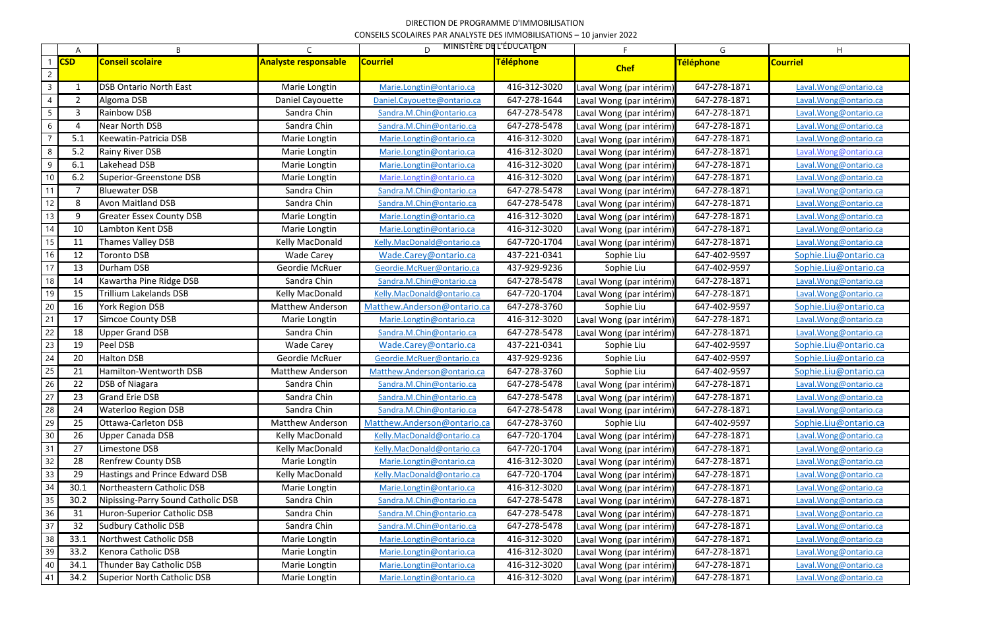## DIRECTION DE PROGRAMME D'IMMOBILISATION CONSEILS SCOLAIRES PAR ANALYSTE DES IMMOBILISATIONS – 10 janvier 2022

|                | A              | B                                  | $\subset$                   | D.                          | <u>MINISTÈRE DE L'ÉDUCATION</u> | F.                       | G            | H                      |
|----------------|----------------|------------------------------------|-----------------------------|-----------------------------|---------------------------------|--------------------------|--------------|------------------------|
|                | <b>CSD</b>     | <b>Conseil scolaire</b>            | <b>Analyste responsable</b> | <b>Courriel</b>             | Téléphone                       |                          | Téléphone    | <b>Courriel</b>        |
| $\overline{2}$ |                |                                    |                             |                             |                                 | <b>Chef</b>              |              |                        |
| $\mathsf{3}$   |                | <b>DSB Ontario North East</b>      | Marie Longtin               | Marie.Longtin@ontario.ca    | 416-312-3020                    | Laval Wong (par intérim) | 647-278-1871 | Laval. Wong@ontario.ca |
| 4              | 2              | Algoma DSB                         | Daniel Cayouette            | Daniel.Cayouette@ontario.ca | 647-278-1644                    | Laval Wong (par intérim) | 647-278-1871 | Laval. Wong@ontario.ca |
| 5              | 3              | Rainbow DSB                        | Sandra Chin                 | Sandra.M.Chin@ontario.ca    | 647-278-5478                    | Laval Wong (par intérim) | 647-278-1871 | Laval. Wong@ontario.ca |
| 6              | $\overline{4}$ | Near North DSB                     | Sandra Chin                 | Sandra.M.Chin@ontario.ca    | 647-278-5478                    | Laval Wong (par intérim) | 647-278-1871 | Laval.Wong@ontario.ca  |
|                | 5.1            | Keewatin-Patricia DSB              | Marie Longtin               | Marie.Longtin@ontario.ca    | 416-312-3020                    | Laval Wong (par intérim) | 647-278-1871 | Laval. Wong@ontario.ca |
| 8              | 5.2            | Rainy River DSB                    | Marie Longtin               | Marie.Longtin@ontario.ca    | 416-312-3020                    | Laval Wong (par intérim) | 647-278-1871 | Laval. Wong@ontario.ca |
| 9              | 6.1            | Lakehead DSB                       | Marie Longtin               | Marie.Longtin@ontario.ca    | 416-312-3020                    | Laval Wong (par intérim) | 647-278-1871 | Laval. Wong@ontario.ca |
| 10             | 6.2            | Superior-Greenstone DSB            | Marie Longtin               | Marie.Longtin@ontario.ca    | 416-312-3020                    | Laval Wong (par intérim) | 647-278-1871 | Laval. Wong@ontario.ca |
| -11            | 7              | <b>Bluewater DSB</b>               | Sandra Chin                 | Sandra.M.Chin@ontario.ca    | 647-278-5478                    | Laval Wong (par intérim) | 647-278-1871 | Laval. Wong@ontario.ca |
| 12             | 8              | <b>Avon Maitland DSB</b>           | Sandra Chin                 | Sandra.M.Chin@ontario.ca    | 647-278-5478                    | Laval Wong (par intérim) | 647-278-1871 | Laval. Wong@ontario.ca |
| 13             | 9              | <b>Greater Essex County DSB</b>    | Marie Longtin               | Marie.Longtin@ontario.ca    | 416-312-3020                    | Laval Wong (par intérim) | 647-278-1871 | Laval. Wong@ontario.ca |
| 14             | 10             | Lambton Kent DSB                   | Marie Longtin               | Marie.Longtin@ontario.ca    | 416-312-3020                    | Laval Wong (par intérim) | 647-278-1871 | Laval. Wong@ontario.ca |
| 15             | 11             | Thames Valley DSB                  | Kelly MacDonald             | Kelly.MacDonald@ontario.ca  | 647-720-1704                    | Laval Wong (par intérim) | 647-278-1871 | Laval. Wong@ontario.ca |
| 16             | 12             | <b>Toronto DSB</b>                 | Wade Carey                  | Wade.Carey@ontario.ca       | 437-221-0341                    | Sophie Liu               | 647-402-9597 | Sophie.Liu@ontario.ca  |
| 17             | 13             | Durham DSB                         | Geordie McRuer              | Geordie.McRuer@ontario.ca   | 437-929-9236                    | Sophie Liu               | 647-402-9597 | Sophie.Liu@ontario.ca  |
| 18             | 14             | Kawartha Pine Ridge DSB            | Sandra Chin                 | Sandra.M.Chin@ontario.ca    | 647-278-5478                    | Laval Wong (par intérim) | 647-278-1871 | Laval.Wong@ontario.ca  |
| 19             | 15             | <b>Trillium Lakelands DSB</b>      | Kelly MacDonald             | Kelly.MacDonald@ontario.ca  | 647-720-1704                    | Laval Wong (par intérim) | 647-278-1871 | Laval. Wong@ontario.ca |
| 20             | 16             | York Region DSB                    | <b>Matthew Anderson</b>     | Matthew.Anderson@ontario.ca | 647-278-3760                    | Sophie Liu               | 647-402-9597 | Sophie.Liu@ontario.ca  |
| 21             | 17             | <b>Simcoe County DSB</b>           | Marie Longtin               | Marie.Longtin@ontario.ca    | 416-312-3020                    | Laval Wong (par intérim) | 647-278-1871 | Laval. Wong@ontario.ca |
| 22             | 18             | <b>Upper Grand DSB</b>             | Sandra Chin                 | Sandra.M.Chin@ontario.ca    | 647-278-5478                    | Laval Wong (par intérim) | 647-278-1871 | Laval. Wong@ontario.ca |
| 23             | 19             | Peel DSB                           | <b>Wade Carey</b>           | Wade.Carey@ontario.ca       | 437-221-0341                    | Sophie Liu               | 647-402-9597 | Sophie.Liu@ontario.ca  |
| 24             | 20             | <b>Halton DSB</b>                  | Geordie McRuer              | Geordie.McRuer@ontario.ca   | 437-929-9236                    | Sophie Liu               | 647-402-9597 | Sophie.Liu@ontario.ca  |
| 25             | 21             | Hamilton-Wentworth DSB             | <b>Matthew Anderson</b>     | Matthew.Anderson@ontario.ca | 647-278-3760                    | Sophie Liu               | 647-402-9597 | Sophie.Liu@ontario.ca  |
| 26             | 22             | <b>DSB of Niagara</b>              | Sandra Chin                 | Sandra.M.Chin@ontario.ca    | 647-278-5478                    | Laval Wong (par intérim) | 647-278-1871 | Laval. Wong@ontario.ca |
| 27             | 23             | <b>Grand Erie DSB</b>              | Sandra Chin                 | Sandra.M.Chin@ontario.ca    | 647-278-5478                    | Laval Wong (par intérim) | 647-278-1871 | Laval. Wong@ontario.ca |
| 28             | 24             | <b>Waterloo Region DSB</b>         | Sandra Chin                 | Sandra.M.Chin@ontario.ca    | 647-278-5478                    | Laval Wong (par intérim) | 647-278-1871 | Laval. Wong@ontario.ca |
| 29             | 25             | <b>Ottawa-Carleton DSB</b>         | <b>Matthew Anderson</b>     | Matthew.Anderson@ontario.ca | 647-278-3760                    | Sophie Liu               | 647-402-9597 | Sophie.Liu@ontario.ca  |
| 30             | 26             | <b>Upper Canada DSB</b>            | Kelly MacDonald             | Kelly.MacDonald@ontario.ca  | 647-720-1704                    | Laval Wong (par intérim) | 647-278-1871 | Laval.Wong@ontario.ca  |
| 31             | 27             | Limestone DSB                      | Kelly MacDonald             | Kelly.MacDonald@ontario.ca  | 647-720-1704                    | Laval Wong (par intérim) | 647-278-1871 | Laval. Wong@ontario.ca |
| 32             | 28             | <b>Renfrew County DSB</b>          | Marie Longtin               | Marie.Longtin@ontario.ca    | 416-312-3020                    | Laval Wong (par intérim) | 647-278-1871 | Laval. Wong@ontario.ca |
| 33             | 29             | Hastings and Prince Edward DSB     | Kelly MacDonald             | Kelly.MacDonald@ontario.ca  | 647-720-1704                    | Laval Wong (par intérim) | 647-278-1871 | Laval. Wong@ontario.ca |
| 34             | 30.1           | Northeastern Catholic DSB          | Marie Longtin               | Marie.Longtin@ontario.ca    | 416-312-3020                    | Laval Wong (par intérim) | 647-278-1871 | Laval. Wong@ontario.ca |
| 35             | 30.2           | Nipissing-Parry Sound Catholic DSB | Sandra Chin                 | Sandra.M.Chin@ontario.ca    | 647-278-5478                    | Laval Wong (par intérim) | 647-278-1871 | Laval. Wong@ontario.ca |
| 36             | 31             | <b>Huron-Superior Catholic DSB</b> | Sandra Chin                 | Sandra.M.Chin@ontario.ca    | 647-278-5478                    | Laval Wong (par intérim) | 647-278-1871 | Laval. Wong@ontario.ca |
| 37             | 32             | <b>Sudbury Catholic DSB</b>        | Sandra Chin                 | Sandra.M.Chin@ontario.ca    | 647-278-5478                    | Laval Wong (par intérim) | 647-278-1871 | Laval.Wong@ontario.ca  |
| 38             | 33.1           | Northwest Catholic DSB             | Marie Longtin               | Marie.Longtin@ontario.ca    | 416-312-3020                    | Laval Wong (par intérim) | 647-278-1871 | Laval. Wong@ontario.ca |
| 39             | 33.2           | Kenora Catholic DSB                | Marie Longtin               | Marie.Longtin@ontario.ca    | 416-312-3020                    | Laval Wong (par intérim) | 647-278-1871 | Laval. Wong@ontario.ca |
| 40             | 34.1           | <b>Thunder Bay Catholic DSB</b>    | Marie Longtin               | Marie.Longtin@ontario.ca    | 416-312-3020                    | Laval Wong (par intérim) | 647-278-1871 | Laval. Wong@ontario.ca |
| 41             | 34.2           | <b>Superior North Catholic DSB</b> | Marie Longtin               | Marie.Longtin@ontario.ca    | 416-312-3020                    | Laval Wong (par intérim) | 647-278-1871 | Laval. Wong@ontario.ca |